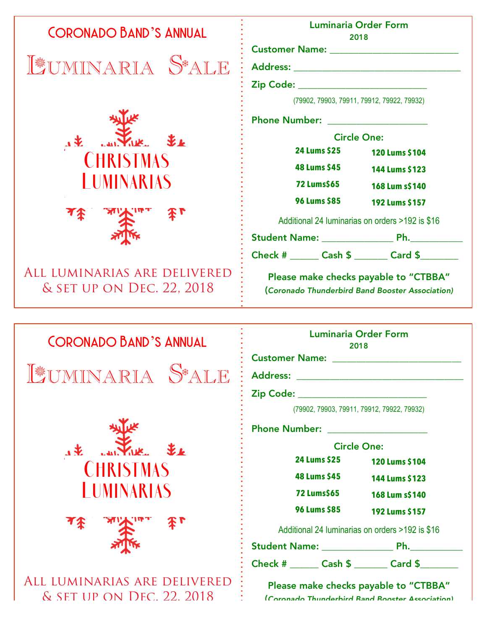| <b>CORONADO BAND'S ANNUAL</b>                             | <b>Luminaria Order Form</b><br>2018                                                                                                                                                                                           |
|-----------------------------------------------------------|-------------------------------------------------------------------------------------------------------------------------------------------------------------------------------------------------------------------------------|
|                                                           |                                                                                                                                                                                                                               |
| LUMINARIA S*ALE                                           |                                                                                                                                                                                                                               |
|                                                           | Zip Code: ____________________________                                                                                                                                                                                        |
|                                                           | (79902, 79903, 79911, 79912, 79922, 79932)                                                                                                                                                                                    |
|                                                           | Phone Number: National Phone State of the Second State of the Second State of the Second State of the Second State of the Second State of the Second State of the Second State of the Second State of the Second State of the |
| $\mathbf{1}$                                              | <b>Circle One:</b>                                                                                                                                                                                                            |
| <b>CHRISTMAS</b>                                          | <b>24 Lums \$25</b><br>120 Lums \$104                                                                                                                                                                                         |
| <b>LUMINARIAS</b>                                         | <b>48 Lums \$45</b><br>144 Lums \$123<br><b>72 Lums\$65</b>                                                                                                                                                                   |
|                                                           | 168 Lum s\$140<br><b>96 Lums \$85</b>                                                                                                                                                                                         |
| 本「                                                        | 192 Lums \$157                                                                                                                                                                                                                |
|                                                           | Additional 24 Iuminarias on orders >192 is \$16                                                                                                                                                                               |
|                                                           | Check # _______ Cash \$ _______ Card \$ _______                                                                                                                                                                               |
| ALL LUMINARIAS ARE DELIVERED<br>& SET UP ON DEC. 22, 2018 | Please make checks payable to "CTBBA"<br>(Coronado Thunderbird Band Booster Association)                                                                                                                                      |
| <b>CORONADO BAND'S ANNUAL</b>                             | <b>Luminaria Order Form</b><br>2018                                                                                                                                                                                           |
| 下楼                                                        | <b>Address:</b>                                                                                                                                                                                                               |
| VARIA                                                     | <u> 1989 - Johann Barbara, martxa alemaniar a</u>                                                                                                                                                                             |
|                                                           | Zip Code: New York State State State State State State State State State State State State State State State S<br>(79902, 79903, 79911, 79912, 79922, 79932)                                                                  |
|                                                           |                                                                                                                                                                                                                               |
|                                                           | <b>Phone Number:</b><br><b>Circle One:</b>                                                                                                                                                                                    |
| $\mathbf{1}$                                              | 24 Lums \$25<br>120 Lums \$104                                                                                                                                                                                                |
| CHRISIMAS                                                 | <b>48 Lums \$45</b><br>144 Lums \$123                                                                                                                                                                                         |
| I UMINARIAS                                               | <b>72 Lums\$65</b><br>168 Lum s\$140                                                                                                                                                                                          |
|                                                           | 96 Lums \$85<br>192 Lums \$157                                                                                                                                                                                                |
|                                                           | Additional 24 Iuminarias on orders >192 is \$16                                                                                                                                                                               |
|                                                           |                                                                                                                                                                                                                               |
|                                                           | Check # _______ Cash \$ _______ Card \$ _______                                                                                                                                                                               |
| ALL LUMINARIAS ARE DELIVERED                              | Please make checks payable to "CTBBA"                                                                                                                                                                                         |